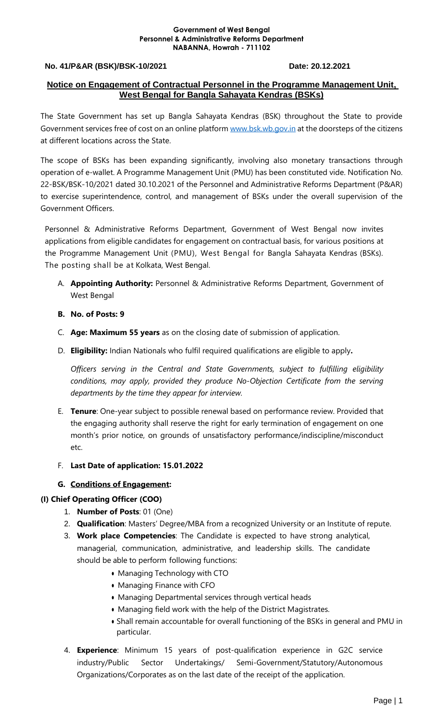#### **Government of West Bengal Personnel & Administrative Reforms Department NABANNA, Howrah - 711102**

#### **No. 41/P&AR (BSK)/BSK-10/2021 Date: 20.12.2021**

#### **Notice on Engagement of Contractual Personnel in the Programme Management Unit, West Bengal for Bangla Sahayata Kendras (BSKs)**

The State Government has set up Bangla Sahayata Kendras (BSK) throughout the State to provide Government services free of cost on an online platfor[m www.bsk.wb.gov.in](http://www.bsk.wb.gov.in/) at the doorsteps of the citizens at different locations across the State.

The scope of BSKs has been expanding significantly, involving also monetary transactions through operation of e-wallet. A Programme Management Unit (PMU) has been constituted vide. Notification No. 22-BSK/BSK-10/2021 dated 30.10.2021 of the Personnel and Administrative Reforms Department (P&AR) to exercise superintendence, control, and management of BSKs under the overall supervision of the Government Officers.

Personnel & Administrative Reforms Department, Government of West Bengal now invites applications from eligible candidates for engagement on contractual basis, for various positions at the Programme Management Unit (PMU), West Bengal for Bangla Sahayata Kendras (BSKs). The posting shall be at Kolkata, West Bengal.

- A. **Appointing Authority:** Personnel & Administrative Reforms Department, Government of West Bengal
- **B. No. of Posts: 9**
- C. **Age: Maximum 55 years** as on the closing date of submission of application.
- D. **Eligibility:** Indian Nationals who fulfil required qualifications are eligible to apply**.**

*Officers serving in the Central and State Governments, subject to fulfilling eligibility conditions, may apply, provided they produce No-Objection Certificate from the serving departments by the time they appear for interview.* 

- E. **Tenure**: One-year subject to possible renewal based on performance review. Provided that the engaging authority shall reserve the right for early termination of engagement on one month's prior notice, on grounds of unsatisfactory performance/indiscipline/misconduct etc.
- F. **Last Date of application: 15.01.2022**

#### **G. Conditions of Engagement:**

#### **(I) Chief Operating Officer (COO)**

- 1. **Number of Posts**: 01 (One)
- 2. **Qualification**: Masters' Degree/MBA from a recognized University or an Institute of repute.
- 3. **Work place Competencies**: The Candidate is expected to have strong analytical, managerial, communication, administrative, and leadership skills. The candidate should be able to perform following functions:
	- Managing Technology with CTO
	- Managing Finance with CFO
	- Managing Departmental services through vertical heads
	- Managing field work with the help of the District Magistrates.
	- Shall remain accountable for overall functioning of the BSKs in general and PMU in particular.
- 4. **Experience**: Minimum 15 years of post-qualification experience in G2C service industry/Public Sector Undertakings/ Semi-Government/Statutory/Autonomous Organizations/Corporates as on the last date of the receipt of the application.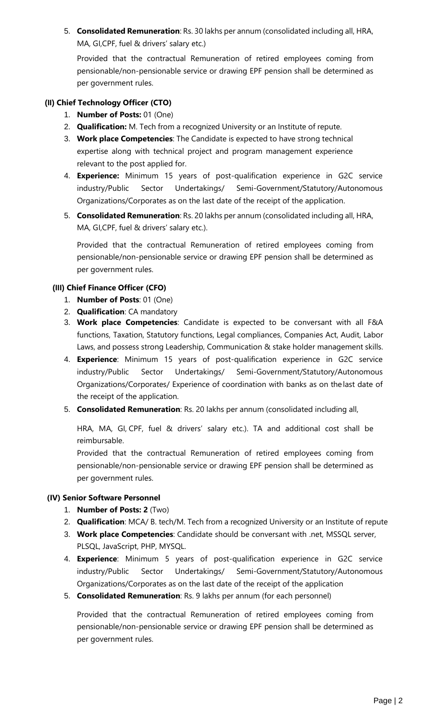5. **Consolidated Remuneration**: Rs. 30 lakhs per annum (consolidated including all, HRA, MA, GI,CPF, fuel & drivers' salary etc.)

Provided that the contractual Remuneration of retired employees coming from pensionable/non-pensionable service or drawing EPF pension shall be determined as per government rules.

#### **(II) Chief Technology Officer (CTO)**

- 1. **Number of Posts:** 01 (One)
- 2. **Qualification:** M. Tech from a recognized University or an Institute of repute.
- 3. **Work place Competencies**: The Candidate is expected to have strong technical expertise along with technical project and program management experience relevant to the post applied for.
- 4. **Experience:** Minimum 15 years of post-qualification experience in G2C service industry/Public Sector Undertakings/ Semi-Government/Statutory/Autonomous Organizations/Corporates as on the last date of the receipt of the application.
- 5. **Consolidated Remuneration**: Rs. 20 lakhs per annum (consolidated including all, HRA, MA, GI,CPF, fuel & drivers' salary etc.).

Provided that the contractual Remuneration of retired employees coming from pensionable/non-pensionable service or drawing EPF pension shall be determined as per government rules.

#### **(III) Chief Finance Officer (CFO)**

- 1. **Number of Posts**: 01 (One)
- 2. **Qualification**: CA mandatory
- 3. **Work place Competencies**: Candidate is expected to be conversant with all F&A functions, Taxation, Statutory functions, Legal compliances, Companies Act, Audit, Labor Laws, and possess strong Leadership, Communication & stake holder management skills.
- 4. **Experience**: Minimum 15 years of post-qualification experience in G2C service industry/Public Sector Undertakings/ Semi-Government/Statutory/Autonomous Organizations/Corporates/ Experience of coordination with banks as on the last date of the receipt of the application.
- 5. **Consolidated Remuneration**: Rs. 20 lakhs per annum (consolidated including all,

HRA, MA, GI, CPF, fuel & drivers' salary etc.). TA and additional cost shall be reimbursable.

Provided that the contractual Remuneration of retired employees coming from pensionable/non-pensionable service or drawing EPF pension shall be determined as per government rules.

#### **(IV) Senior Software Personnel**

- 1. **Number of Posts: 2** (Two)
- 2. **Qualification**: MCA/ B. tech/M. Tech from a recognized University or an Institute of repute
- 3. **Work place Competencies**: Candidate should be conversant with .net, MSSQL server, PLSQL, JavaScript, PHP, MYSQL.
- 4. **Experience**: Minimum 5 years of post-qualification experience in G2C service industry/Public Sector Undertakings/ Semi-Government/Statutory/Autonomous Organizations/Corporates as on the last date of the receipt of the application
- 5. **Consolidated Remuneration**: Rs. 9 lakhs per annum (for each personnel)

Provided that the contractual Remuneration of retired employees coming from pensionable/non-pensionable service or drawing EPF pension shall be determined as per government rules.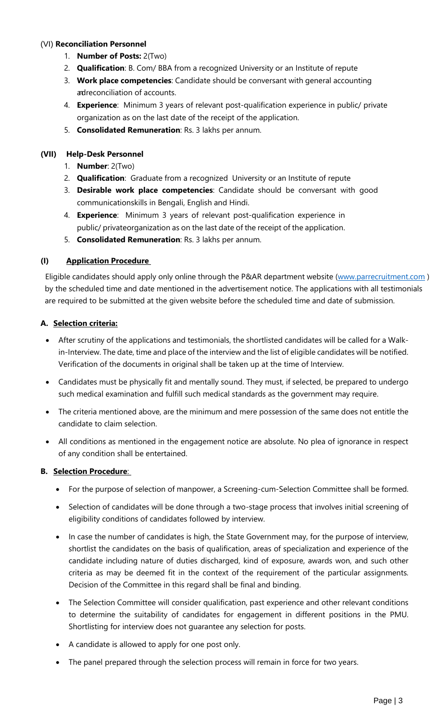#### (VI) **Reconciliation Personnel**

- 1. **Number of Posts:** 2(Two)
- 2. **Qualification**: B. Com/ BBA from a recognized University or an Institute of repute
- 3. **Work place competencies**: Candidate should be conversant with general accounting adreconciliation of accounts.
- 4. **Experience**: Minimum 3 years of relevant post-qualification experience in public/ private organization as on the last date of the receipt of the application.
- 5. **Consolidated Remuneration**: Rs. 3 lakhs per annum.

# **(VII) Help-Desk Personnel**

- 1. **Number**: 2(Two)
- 2. **Qualification**: Graduate from a recognized University or an Institute of repute
- 3. **Desirable work place competencies**: Candidate should be conversant with good communicationskills in Bengali, English and Hindi.
- 4. **Experience**: Minimum 3 years of relevant post-qualification experience in public/ privateorganization as on the last date of the receipt of the application.
- 5. **Consolidated Remuneration**: Rs. 3 lakhs per annum.

# **(I) Application Procedure**

Eligible candidates should apply only online through the P&AR department website [\(www.parrecruitment.com](http://www.parrecruitment.com/) ) by the scheduled time and date mentioned in the advertisement notice. The applications with all testimonials are required to be submitted at the given website before the scheduled time and date of submission.

# **A. Selection criteria:**

- After scrutiny of the applications and testimonials, the shortlisted candidates will be called for a Walkin-Interview. The date, time and place of the interview and the list of eligible candidates will be notified. Verification of the documents in original shall be taken up at the time of Interview.
- Candidates must be physically fit and mentally sound. They must, if selected, be prepared to undergo such medical examination and fulfill such medical standards as the government may require.
- The criteria mentioned above, are the minimum and mere possession of the same does not entitle the candidate to claim selection.
- All conditions as mentioned in the engagement notice are absolute. No plea of ignorance in respect of any condition shall be entertained.

# **B. Selection Procedure**:

- For the purpose of selection of manpower, a Screening-cum-Selection Committee shall be formed.
- Selection of candidates will be done through a two-stage process that involves initial screening of eligibility conditions of candidates followed by interview.
- In case the number of candidates is high, the State Government may, for the purpose of interview, shortlist the candidates on the basis of qualification, areas of specialization and experience of the candidate including nature of duties discharged, kind of exposure, awards won, and such other criteria as may be deemed fit in the context of the requirement of the particular assignments. Decision of the Committee in this regard shall be final and binding.
- The Selection Committee will consider qualification, past experience and other relevant conditions to determine the suitability of candidates for engagement in different positions in the PMU. Shortlisting for interview does not guarantee any selection for posts.
- A candidate is allowed to apply for one post only.
- The panel prepared through the selection process will remain in force for two years.